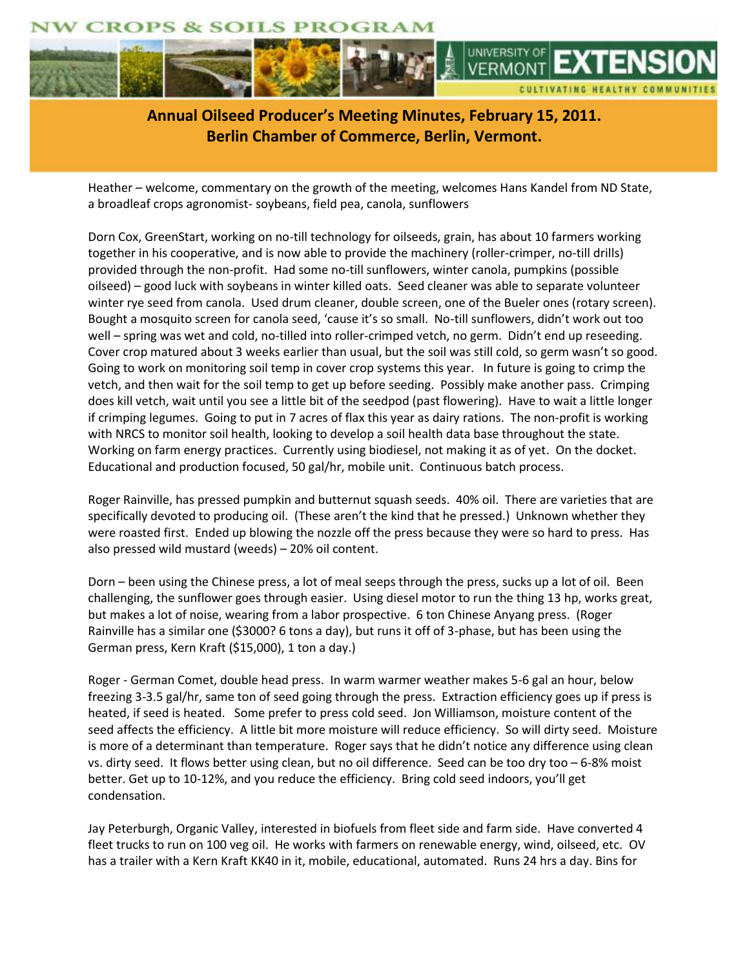



**Annual Oilseed Producer's Meeting Minutes, February 15, 2011. [Berlin Chamber of Commerce, Berlin, Vermont.](http://www.uvm.edu/extension/cropsoil/oilseeds)**

Heather – welcome, commentary on the growth of the meeting, welcomes Hans Kandel from ND State, a broadleaf crops agronomist- soybeans, field pea, canola, sunflowers

Dorn Cox, GreenStart, working on no-till technology for oilseeds, grain, has about 10 farmers working together in his cooperative, and is now able to provide the machinery (roller-crimper, no-till drills) provided through the non-profit. Had some no-till sunflowers, winter canola, pumpkins (possible oilseed) – good luck with soybeans in winter killed oats. Seed cleaner was able to separate volunteer winter rye seed from canola. Used drum cleaner, double screen, one of the Bueler ones (rotary screen). Bought a mosquito screen for canola seed, 'cause it's so small. No-till sunflowers, didn't work out too well – spring was wet and cold, no-tilled into roller-crimped vetch, no germ. Didn't end up reseeding. Cover crop matured about 3 weeks earlier than usual, but the soil was still cold, so germ wasn't so good. Going to work on monitoring soil temp in cover crop systems this year. In future is going to crimp the vetch, and then wait for the soil temp to get up before seeding. Possibly make another pass. Crimping does kill vetch, wait until you see a little bit of the seedpod (past flowering). Have to wait a little longer if crimping legumes. Going to put in 7 acres of flax this year as dairy rations. The non-profit is working with NRCS to monitor soil health, looking to develop a soil health data base throughout the state. Working on farm energy practices. Currently using biodiesel, not making it as of yet. On the docket. Educational and production focused, 50 gal/hr, mobile unit. Continuous batch process.

Roger Rainville, has pressed pumpkin and butternut squash seeds. 40% oil. There are varieties that are specifically devoted to producing oil. (These aren't the kind that he pressed.) Unknown whether they were roasted first. Ended up blowing the nozzle off the press because they were so hard to press. Has also pressed wild mustard (weeds) – 20% oil content.

Dorn – been using the Chinese press, a lot of meal seeps through the press, sucks up a lot of oil. Been challenging, the sunflower goes through easier. Using diesel motor to run the thing 13 hp, works great, but makes a lot of noise, wearing from a labor prospective. 6 ton Chinese Anyang press. (Roger Rainville has a similar one (\$3000? 6 tons a day), but runs it off of 3-phase, but has been using the German press, Kern Kraft (\$15,000), 1 ton a day.)

Roger - German Comet, double head press. In warm warmer weather makes 5-6 gal an hour, below freezing 3-3.5 gal/hr, same ton of seed going through the press. Extraction efficiency goes up if press is heated, if seed is heated. Some prefer to press cold seed. Jon Williamson, moisture content of the seed affects the efficiency. A little bit more moisture will reduce efficiency. So will dirty seed. Moisture is more of a determinant than temperature. Roger says that he didn't notice any difference using clean vs. dirty seed. It flows better using clean, but no oil difference. Seed can be too dry too – 6-8% moist better. Get up to 10-12%, and you reduce the efficiency. Bring cold seed indoors, you'll get condensation.

Jay Peterburgh, Organic Valley, interested in biofuels from fleet side and farm side. Have converted 4 fleet trucks to run on 100 veg oil. He works with farmers on renewable energy, wind, oilseed, etc. OV has a trailer with a Kern Kraft KK40 in it, mobile, educational, automated. Runs 24 hrs a day. Bins for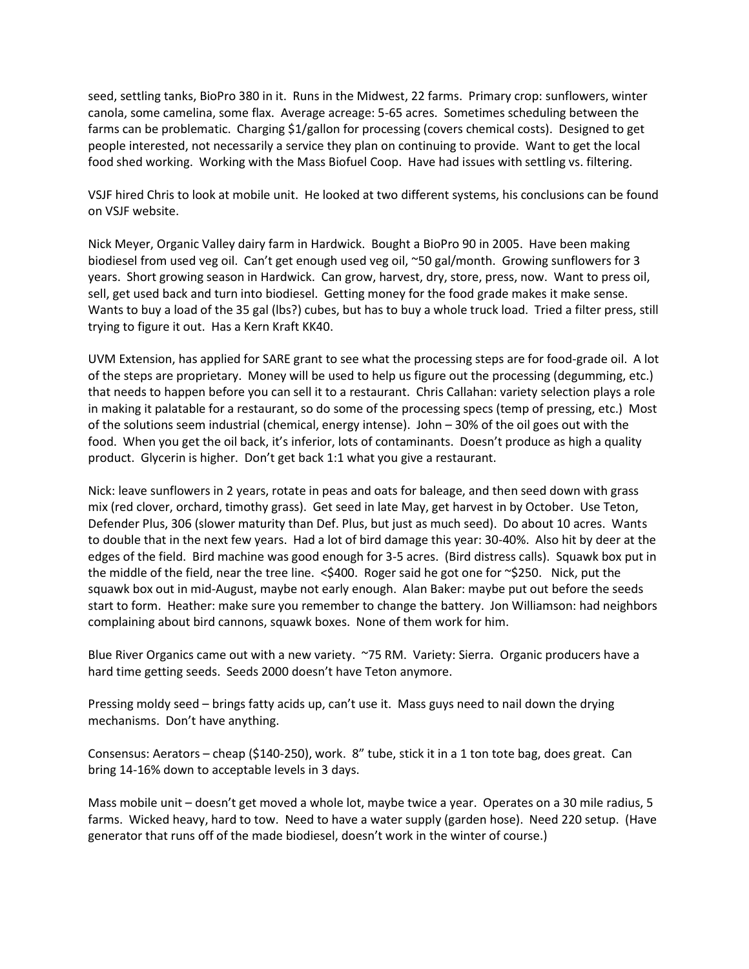seed, settling tanks, BioPro 380 in it. Runs in the Midwest, 22 farms. Primary crop: sunflowers, winter canola, some camelina, some flax. Average acreage: 5-65 acres. Sometimes scheduling between the farms can be problematic. Charging \$1/gallon for processing (covers chemical costs). Designed to get people interested, not necessarily a service they plan on continuing to provide. Want to get the local food shed working. Working with the Mass Biofuel Coop. Have had issues with settling vs. filtering.

VSJF hired Chris to look at mobile unit. He looked at two different systems, his conclusions can be found on VSJF website.

Nick Meyer, Organic Valley dairy farm in Hardwick. Bought a BioPro 90 in 2005. Have been making biodiesel from used veg oil. Can't get enough used veg oil, ~50 gal/month. Growing sunflowers for 3 years. Short growing season in Hardwick. Can grow, harvest, dry, store, press, now. Want to press oil, sell, get used back and turn into biodiesel. Getting money for the food grade makes it make sense. Wants to buy a load of the 35 gal (lbs?) cubes, but has to buy a whole truck load. Tried a filter press, still trying to figure it out. Has a Kern Kraft KK40.

UVM Extension, has applied for SARE grant to see what the processing steps are for food-grade oil. A lot of the steps are proprietary. Money will be used to help us figure out the processing (degumming, etc.) that needs to happen before you can sell it to a restaurant. Chris Callahan: variety selection plays a role in making it palatable for a restaurant, so do some of the processing specs (temp of pressing, etc.) Most of the solutions seem industrial (chemical, energy intense). John – 30% of the oil goes out with the food. When you get the oil back, it's inferior, lots of contaminants. Doesn't produce as high a quality product. Glycerin is higher. Don't get back 1:1 what you give a restaurant.

Nick: leave sunflowers in 2 years, rotate in peas and oats for baleage, and then seed down with grass mix (red clover, orchard, timothy grass). Get seed in late May, get harvest in by October. Use Teton, Defender Plus, 306 (slower maturity than Def. Plus, but just as much seed). Do about 10 acres. Wants to double that in the next few years. Had a lot of bird damage this year: 30-40%. Also hit by deer at the edges of the field. Bird machine was good enough for 3-5 acres. (Bird distress calls). Squawk box put in the middle of the field, near the tree line. < \$400. Roger said he got one for ~\$250. Nick, put the squawk box out in mid-August, maybe not early enough. Alan Baker: maybe put out before the seeds start to form. Heather: make sure you remember to change the battery. Jon Williamson: had neighbors complaining about bird cannons, squawk boxes. None of them work for him.

Blue River Organics came out with a new variety. ~75 RM. Variety: Sierra. Organic producers have a hard time getting seeds. Seeds 2000 doesn't have Teton anymore.

Pressing moldy seed – brings fatty acids up, can't use it. Mass guys need to nail down the drying mechanisms. Don't have anything.

Consensus: Aerators – cheap (\$140-250), work. 8" tube, stick it in a 1 ton tote bag, does great. Can bring 14-16% down to acceptable levels in 3 days.

Mass mobile unit – doesn't get moved a whole lot, maybe twice a year. Operates on a 30 mile radius, 5 farms. Wicked heavy, hard to tow. Need to have a water supply (garden hose). Need 220 setup. (Have generator that runs off of the made biodiesel, doesn't work in the winter of course.)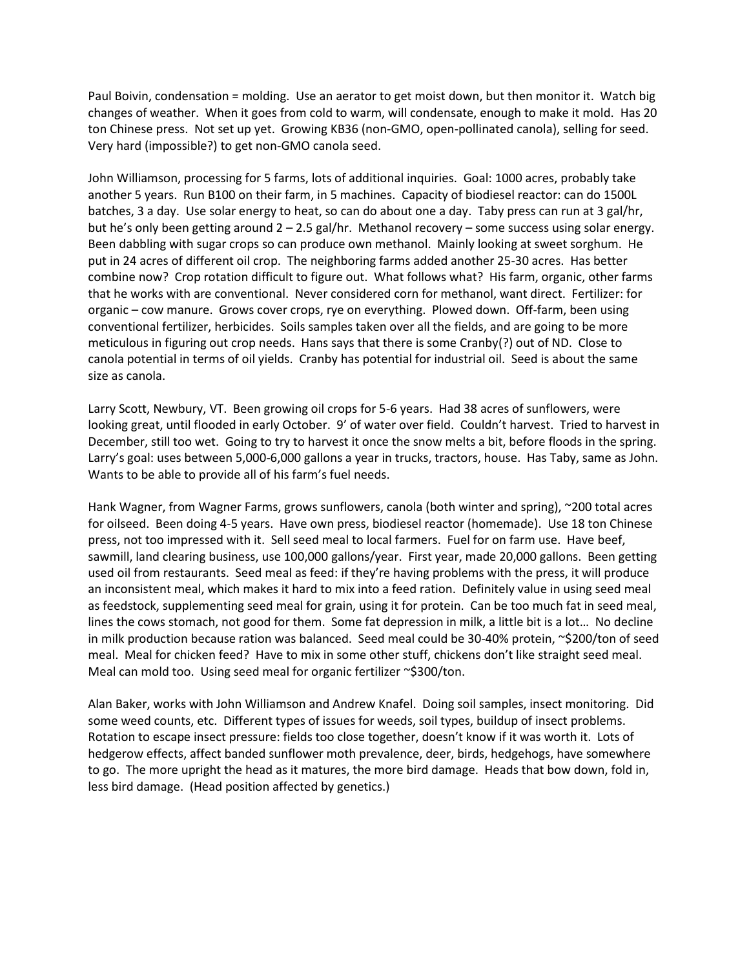Paul Boivin, condensation = molding. Use an aerator to get moist down, but then monitor it. Watch big changes of weather. When it goes from cold to warm, will condensate, enough to make it mold. Has 20 ton Chinese press. Not set up yet. Growing KB36 (non-GMO, open-pollinated canola), selling for seed. Very hard (impossible?) to get non-GMO canola seed.

John Williamson, processing for 5 farms, lots of additional inquiries. Goal: 1000 acres, probably take another 5 years. Run B100 on their farm, in 5 machines. Capacity of biodiesel reactor: can do 1500L batches, 3 a day. Use solar energy to heat, so can do about one a day. Taby press can run at 3 gal/hr, but he's only been getting around 2 – 2.5 gal/hr. Methanol recovery – some success using solar energy. Been dabbling with sugar crops so can produce own methanol. Mainly looking at sweet sorghum. He put in 24 acres of different oil crop. The neighboring farms added another 25-30 acres. Has better combine now? Crop rotation difficult to figure out. What follows what? His farm, organic, other farms that he works with are conventional. Never considered corn for methanol, want direct. Fertilizer: for organic – cow manure. Grows cover crops, rye on everything. Plowed down. Off-farm, been using conventional fertilizer, herbicides. Soils samples taken over all the fields, and are going to be more meticulous in figuring out crop needs. Hans says that there is some Cranby(?) out of ND. Close to canola potential in terms of oil yields. Cranby has potential for industrial oil. Seed is about the same size as canola.

Larry Scott, Newbury, VT. Been growing oil crops for 5-6 years. Had 38 acres of sunflowers, were looking great, until flooded in early October. 9' of water over field. Couldn't harvest. Tried to harvest in December, still too wet. Going to try to harvest it once the snow melts a bit, before floods in the spring. Larry's goal: uses between 5,000-6,000 gallons a year in trucks, tractors, house. Has Taby, same as John. Wants to be able to provide all of his farm's fuel needs.

Hank Wagner, from Wagner Farms, grows sunflowers, canola (both winter and spring), ~200 total acres for oilseed. Been doing 4-5 years. Have own press, biodiesel reactor (homemade). Use 18 ton Chinese press, not too impressed with it. Sell seed meal to local farmers. Fuel for on farm use. Have beef, sawmill, land clearing business, use 100,000 gallons/year. First year, made 20,000 gallons. Been getting used oil from restaurants. Seed meal as feed: if they're having problems with the press, it will produce an inconsistent meal, which makes it hard to mix into a feed ration. Definitely value in using seed meal as feedstock, supplementing seed meal for grain, using it for protein. Can be too much fat in seed meal, lines the cows stomach, not good for them. Some fat depression in milk, a little bit is a lot… No decline in milk production because ration was balanced. Seed meal could be 30-40% protein, ~\$200/ton of seed meal. Meal for chicken feed? Have to mix in some other stuff, chickens don't like straight seed meal. Meal can mold too. Using seed meal for organic fertilizer ~\$300/ton.

Alan Baker, works with John Williamson and Andrew Knafel. Doing soil samples, insect monitoring. Did some weed counts, etc. Different types of issues for weeds, soil types, buildup of insect problems. Rotation to escape insect pressure: fields too close together, doesn't know if it was worth it. Lots of hedgerow effects, affect banded sunflower moth prevalence, deer, birds, hedgehogs, have somewhere to go. The more upright the head as it matures, the more bird damage. Heads that bow down, fold in, less bird damage. (Head position affected by genetics.)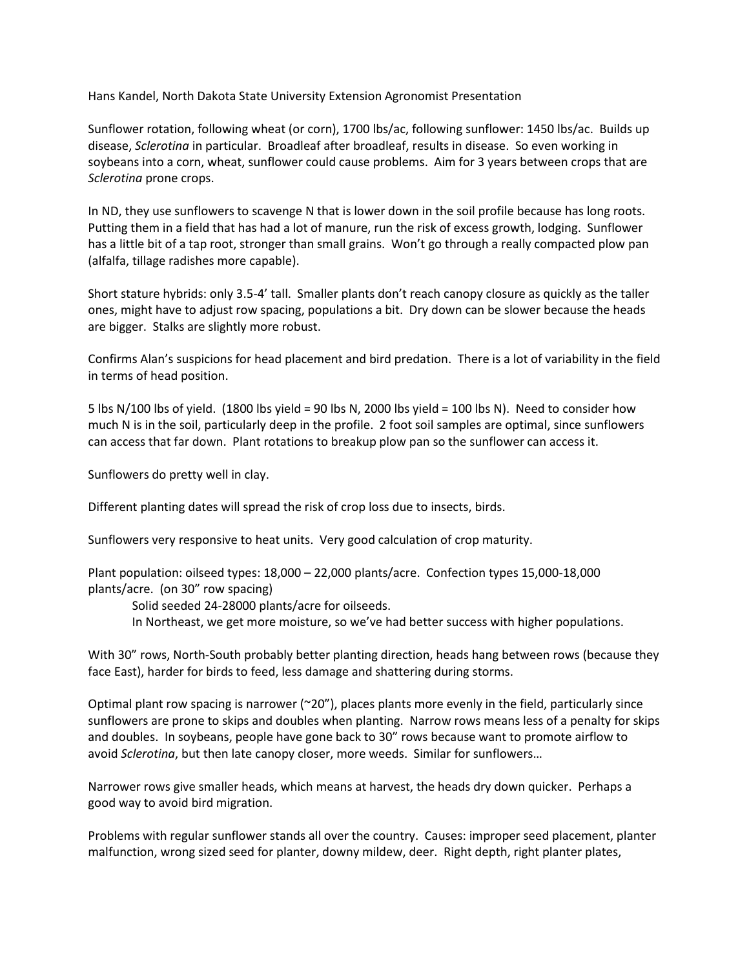Hans Kandel, North Dakota State University Extension Agronomist Presentation

Sunflower rotation, following wheat (or corn), 1700 lbs/ac, following sunflower: 1450 lbs/ac. Builds up disease, *Sclerotina* in particular. Broadleaf after broadleaf, results in disease. So even working in soybeans into a corn, wheat, sunflower could cause problems. Aim for 3 years between crops that are *Sclerotina* prone crops.

In ND, they use sunflowers to scavenge N that is lower down in the soil profile because has long roots. Putting them in a field that has had a lot of manure, run the risk of excess growth, lodging. Sunflower has a little bit of a tap root, stronger than small grains. Won't go through a really compacted plow pan (alfalfa, tillage radishes more capable).

Short stature hybrids: only 3.5-4' tall. Smaller plants don't reach canopy closure as quickly as the taller ones, might have to adjust row spacing, populations a bit. Dry down can be slower because the heads are bigger. Stalks are slightly more robust.

Confirms Alan's suspicions for head placement and bird predation. There is a lot of variability in the field in terms of head position.

5 lbs N/100 lbs of yield. (1800 lbs yield = 90 lbs N, 2000 lbs yield = 100 lbs N). Need to consider how much N is in the soil, particularly deep in the profile. 2 foot soil samples are optimal, since sunflowers can access that far down. Plant rotations to breakup plow pan so the sunflower can access it.

Sunflowers do pretty well in clay.

Different planting dates will spread the risk of crop loss due to insects, birds.

Sunflowers very responsive to heat units. Very good calculation of crop maturity.

Plant population: oilseed types: 18,000 – 22,000 plants/acre. Confection types 15,000-18,000 plants/acre. (on 30" row spacing)

Solid seeded 24-28000 plants/acre for oilseeds.

In Northeast, we get more moisture, so we've had better success with higher populations.

With 30" rows, North-South probably better planting direction, heads hang between rows (because they face East), harder for birds to feed, less damage and shattering during storms.

Optimal plant row spacing is narrower ( $20$ "), places plants more evenly in the field, particularly since sunflowers are prone to skips and doubles when planting. Narrow rows means less of a penalty for skips and doubles. In soybeans, people have gone back to 30" rows because want to promote airflow to avoid *Sclerotina*, but then late canopy closer, more weeds. Similar for sunflowers…

Narrower rows give smaller heads, which means at harvest, the heads dry down quicker. Perhaps a good way to avoid bird migration.

Problems with regular sunflower stands all over the country. Causes: improper seed placement, planter malfunction, wrong sized seed for planter, downy mildew, deer. Right depth, right planter plates,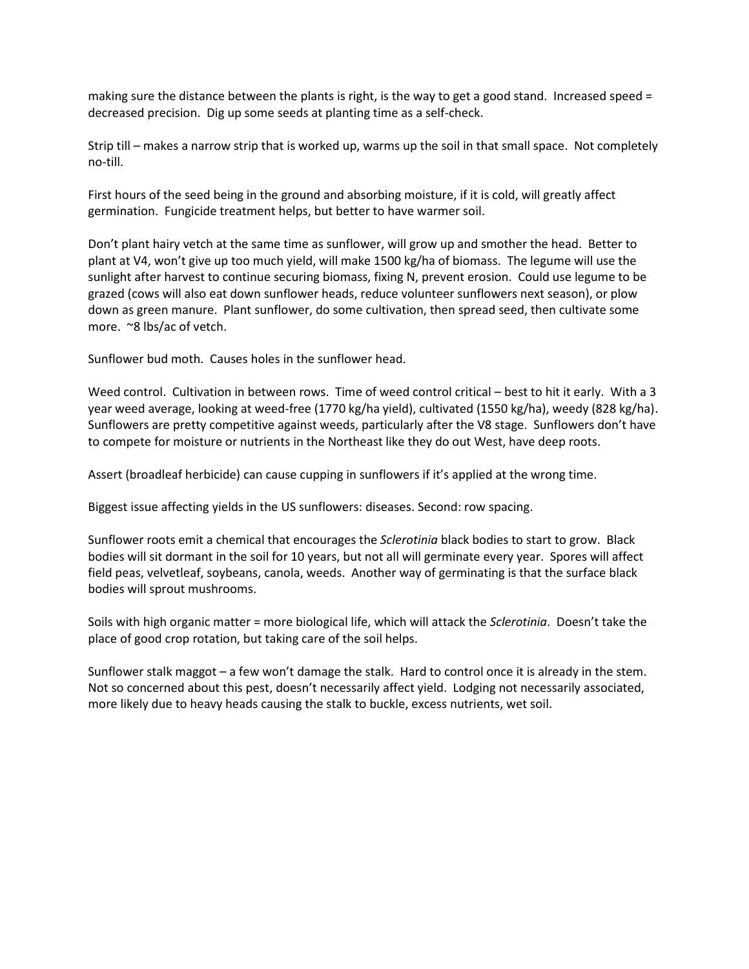making sure the distance between the plants is right, is the way to get a good stand. Increased speed = decreased precision. Dig up some seeds at planting time as a self-check.

Strip till – makes a narrow strip that is worked up, warms up the soil in that small space. Not completely no-till.

First hours of the seed being in the ground and absorbing moisture, if it is cold, will greatly affect germination. Fungicide treatment helps, but better to have warmer soil.

Don't plant hairy vetch at the same time as sunflower, will grow up and smother the head. Better to plant at V4, won't give up too much yield, will make 1500 kg/ha of biomass. The legume will use the sunlight after harvest to continue securing biomass, fixing N, prevent erosion. Could use legume to be grazed (cows will also eat down sunflower heads, reduce volunteer sunflowers next season), or plow down as green manure. Plant sunflower, do some cultivation, then spread seed, then cultivate some more. ~8 lbs/ac of vetch.

Sunflower bud moth. Causes holes in the sunflower head.

Weed control. Cultivation in between rows. Time of weed control critical – best to hit it early. With a 3 year weed average, looking at weed-free (1770 kg/ha yield), cultivated (1550 kg/ha), weedy (828 kg/ha). Sunflowers are pretty competitive against weeds, particularly after the V8 stage. Sunflowers don't have to compete for moisture or nutrients in the Northeast like they do out West, have deep roots.

Assert (broadleaf herbicide) can cause cupping in sunflowers if it's applied at the wrong time.

Biggest issue affecting yields in the US sunflowers: diseases. Second: row spacing.

Sunflower roots emit a chemical that encourages the *Sclerotinia* black bodies to start to grow. Black bodies will sit dormant in the soil for 10 years, but not all will germinate every year. Spores will affect field peas, velvetleaf, soybeans, canola, weeds. Another way of germinating is that the surface black bodies will sprout mushrooms.

Soils with high organic matter = more biological life, which will attack the *Sclerotinia*. Doesn't take the place of good crop rotation, but taking care of the soil helps.

Sunflower stalk maggot – a few won't damage the stalk. Hard to control once it is already in the stem. Not so concerned about this pest, doesn't necessarily affect yield. Lodging not necessarily associated, more likely due to heavy heads causing the stalk to buckle, excess nutrients, wet soil.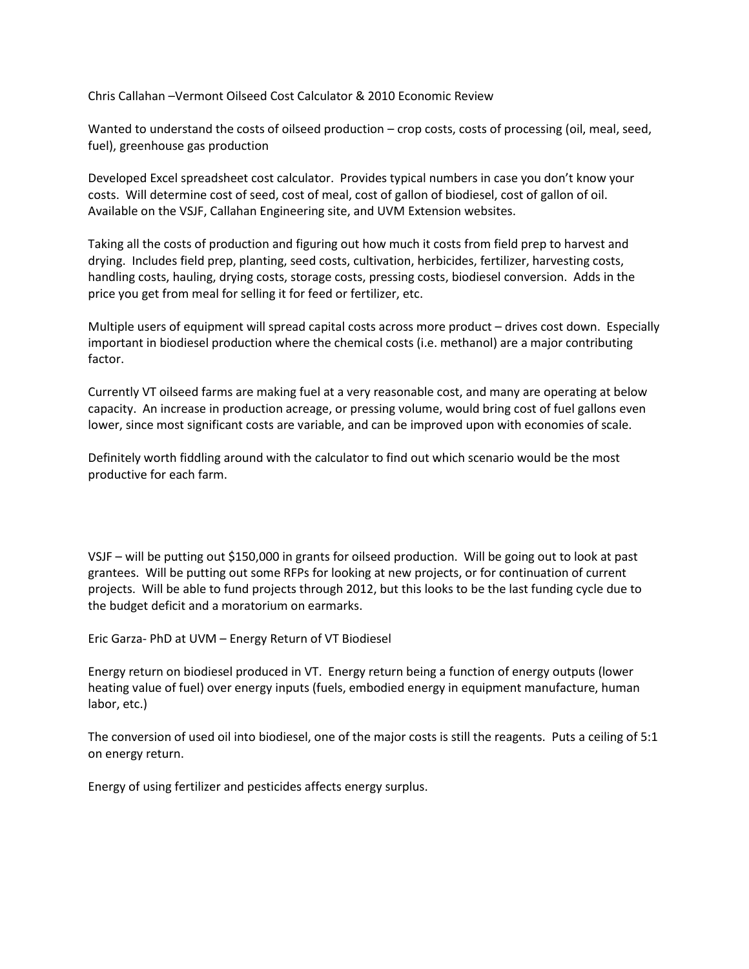Chris Callahan –Vermont Oilseed Cost Calculator & 2010 Economic Review

Wanted to understand the costs of oilseed production – crop costs, costs of processing (oil, meal, seed, fuel), greenhouse gas production

Developed Excel spreadsheet cost calculator. Provides typical numbers in case you don't know your costs. Will determine cost of seed, cost of meal, cost of gallon of biodiesel, cost of gallon of oil. Available on the VSJF, Callahan Engineering site, and UVM Extension websites.

Taking all the costs of production and figuring out how much it costs from field prep to harvest and drying. Includes field prep, planting, seed costs, cultivation, herbicides, fertilizer, harvesting costs, handling costs, hauling, drying costs, storage costs, pressing costs, biodiesel conversion. Adds in the price you get from meal for selling it for feed or fertilizer, etc.

Multiple users of equipment will spread capital costs across more product – drives cost down. Especially important in biodiesel production where the chemical costs (i.e. methanol) are a major contributing factor.

Currently VT oilseed farms are making fuel at a very reasonable cost, and many are operating at below capacity. An increase in production acreage, or pressing volume, would bring cost of fuel gallons even lower, since most significant costs are variable, and can be improved upon with economies of scale.

Definitely worth fiddling around with the calculator to find out which scenario would be the most productive for each farm.

VSJF – will be putting out \$150,000 in grants for oilseed production. Will be going out to look at past grantees. Will be putting out some RFPs for looking at new projects, or for continuation of current projects. Will be able to fund projects through 2012, but this looks to be the last funding cycle due to the budget deficit and a moratorium on earmarks.

Eric Garza- PhD at UVM – Energy Return of VT Biodiesel

Energy return on biodiesel produced in VT. Energy return being a function of energy outputs (lower heating value of fuel) over energy inputs (fuels, embodied energy in equipment manufacture, human labor, etc.)

The conversion of used oil into biodiesel, one of the major costs is still the reagents. Puts a ceiling of 5:1 on energy return.

Energy of using fertilizer and pesticides affects energy surplus.